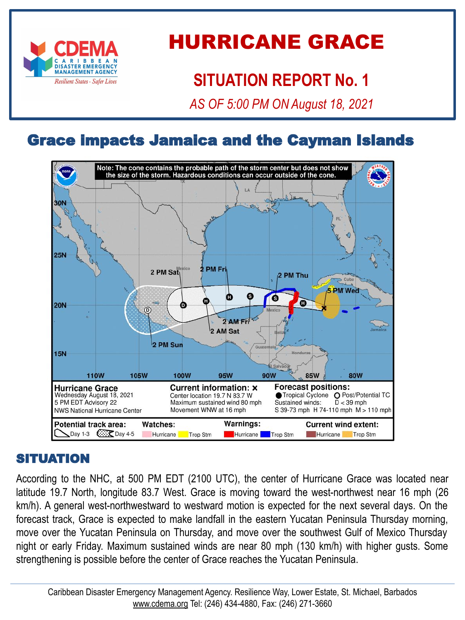

# HURRICANE GRACE

# **SITUATION REPORT No. 1**

*AS OF 5:00 PM ON August 18, 2021*

# Grace impacts Jamaica and the Cayman Islands



#### SITUATION

According to the NHC, at 500 PM EDT (2100 UTC), the center of Hurricane Grace was located near latitude 19.7 North, longitude 83.7 West. Grace is moving toward the west-northwest near 16 mph (26 km/h). A general west-northwestward to westward motion is expected for the next several days. On the forecast track, Grace is expected to make landfall in the eastern Yucatan Peninsula Thursday morning, move over the Yucatan Peninsula on Thursday, and move over the southwest Gulf of Mexico Thursday night or early Friday. Maximum sustained winds are near 80 mph (130 km/h) with higher gusts. Some strengthening is possible before the center of Grace reaches the Yucatan Peninsula.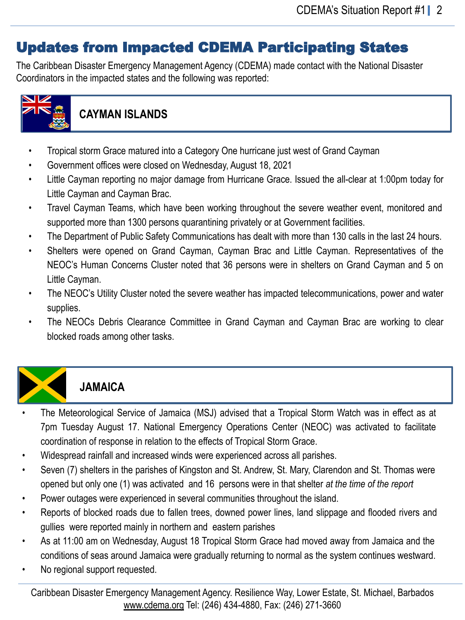## Updates from Impacted CDEMA Participating States

The Caribbean Disaster Emergency Management Agency (CDEMA) made contact with the National Disaster Coordinators in the impacted states and the following was reported:



#### **CAYMAN ISLANDS**

- Tropical storm Grace matured into a Category One hurricane just west of Grand Cayman
- Government offices were closed on Wednesday, August 18, 2021
- Little Cayman reporting no major damage from Hurricane Grace. Issued the all-clear at 1:00pm today for Little Cayman and Cayman Brac.
- Travel Cayman Teams, which have been working throughout the severe weather event, monitored and supported more than 1300 persons quarantining privately or at Government facilities.
- The Department of Public Safety Communications has dealt with more than 130 calls in the last 24 hours.
- Shelters were opened on Grand Cayman, Cayman Brac and Little Cayman. Representatives of the NEOC's Human Concerns Cluster noted that 36 persons were in shelters on Grand Cayman and 5 on Little Cayman.
- The NEOC's Utility Cluster noted the severe weather has impacted telecommunications, power and water supplies.
- The NEOCs Debris Clearance Committee in Grand Cayman and Cayman Brac are working to clear blocked roads among other tasks.



## **JAMAICA**

- The Meteorological Service of Jamaica (MSJ) advised that a Tropical Storm Watch was in effect as at 7pm Tuesday August 17. National Emergency Operations Center (NEOC) was activated to facilitate coordination of response in relation to the effects of Tropical Storm Grace.
- Widespread rainfall and increased winds were experienced across all parishes.
- Seven (7) shelters in the parishes of Kingston and St. Andrew, St. Mary, Clarendon and St. Thomas were opened but only one (1) was activated and 16 persons were in that shelter *at the time of the report*
- Power outages were experienced in several communities throughout the island.
- Reports of blocked roads due to fallen trees, downed power lines, land slippage and flooded rivers and gullies were reported mainly in northern and eastern parishes
- As at 11:00 am on Wednesday, August 18 Tropical Storm Grace had moved away from Jamaica and the conditions of seas around Jamaica were gradually returning to normal as the system continues westward.
- No regional support requested.

Caribbean Disaster Emergency Management Agency. Resilience Way, Lower Estate, St. Michael, Barbados [www.cdema.org](http://www.cdema.org/) Tel: (246) 434-4880, Fax: (246) 271-3660